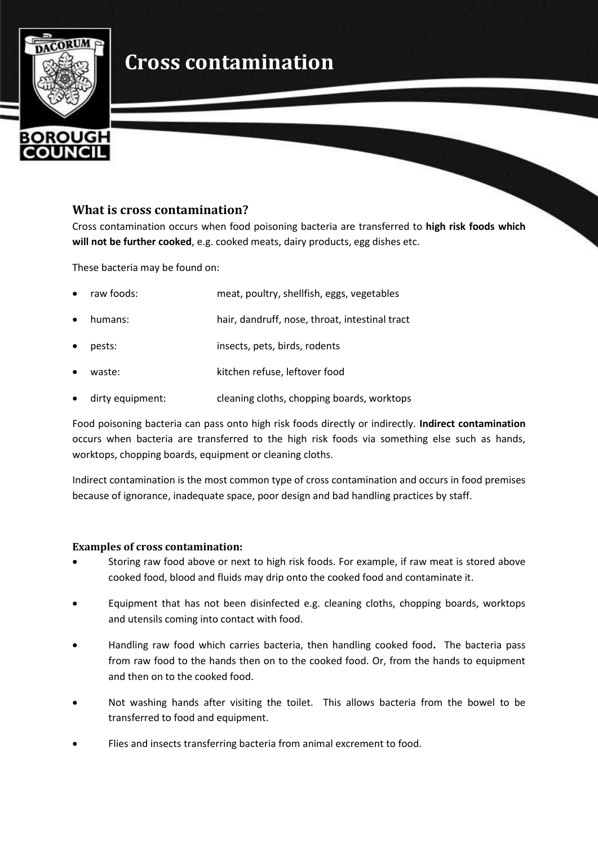## **Cross contamination**



## **What is cross contamination?**

Cross contamination occurs when food poisoning bacteria are transferred to **high risk foods which will not be further cooked**, e.g. cooked meats, dairy products, egg dishes etc.

These bacteria may be found on:

| raw foods: | meat, poultry, shellfish, eggs, vegetables     |
|------------|------------------------------------------------|
| humans:    | hair, dandruff, nose, throat, intestinal tract |
| pests:     | insects, pets, birds, rodents                  |
| waste:     | kitchen refuse, leftover food                  |
|            |                                                |

dirty equipment: cleaning cloths, chopping boards, worktops

Food poisoning bacteria can pass onto high risk foods directly or indirectly. **Indirect contamination** occurs when bacteria are transferred to the high risk foods via something else such as hands, worktops, chopping boards, equipment or cleaning cloths.

Indirect contamination is the most common type of cross contamination and occurs in food premises because of ignorance, inadequate space, poor design and bad handling practices by staff.

## **Examples of cross contamination:**

- Storing raw food above or next to high risk foods. For example, if raw meat is stored above cooked food, blood and fluids may drip onto the cooked food and contaminate it.
- Equipment that has not been disinfected e.g. cleaning cloths, chopping boards, worktops and utensils coming into contact with food.
- Handling raw food which carries bacteria, then handling cooked food**.** The bacteria pass from raw food to the hands then on to the cooked food. Or, from the hands to equipment and then on to the cooked food.
- Not washing hands after visiting the toilet. This allows bacteria from the bowel to be transferred to food and equipment.
- Flies and insects transferring bacteria from animal excrement to food.